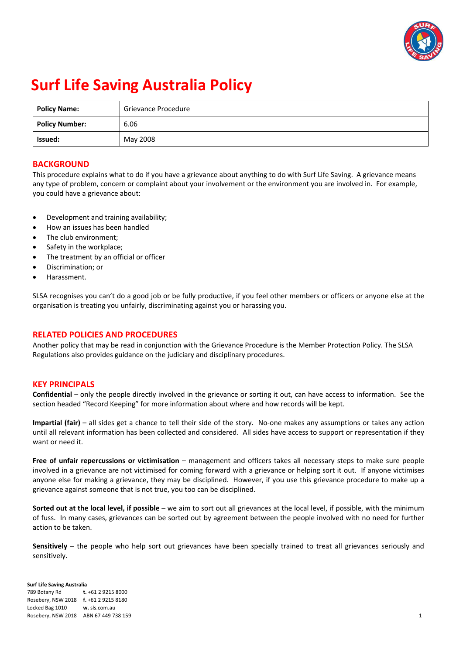

# **Surf Life Saving Australia Policy**

| <b>Policy Name:</b>   | Grievance Procedure |
|-----------------------|---------------------|
| <b>Policy Number:</b> | 6.06                |
| Issued:               | May 2008            |

# **BACKGROUND**

This procedure explains what to do if you have a grievance about anything to do with Surf Life Saving. A grievance means any type of problem, concern or complaint about your involvement or the environment you are involved in. For example, you could have a grievance about:

- Development and training availability;
- How an issues has been handled
- The club environment;
- Safety in the workplace;
- The treatment by an official or officer
- Discrimination; or
- Harassment.

SLSA recognises you can't do a good job or be fully productive, if you feel other members or officers or anyone else at the organisation is treating you unfairly, discriminating against you or harassing you.

# **RELATED POLICIES AND PROCEDURES**

Another policy that may be read in conjunction with the Grievance Procedure is the Member Protection Policy. The SLSA Regulations also provides guidance on the judiciary and disciplinary procedures.

# **KEY PRINCIPALS**

**Confidential** – only the people directly involved in the grievance or sorting it out, can have access to information. See the section headed "Record Keeping" for more information about where and how records will be kept.

**Impartial (fair)** – all sides get a chance to tell their side of the story. No‐one makes any assumptions or takes any action until all relevant information has been collected and considered. All sides have access to support or representation if they want or need it.

**Free of unfair repercussions or victimisation** – management and officers takes all necessary steps to make sure people involved in a grievance are not victimised for coming forward with a grievance or helping sort it out. If anyone victimises anyone else for making a grievance, they may be disciplined. However, if you use this grievance procedure to make up a grievance against someone that is not true, you too can be disciplined.

**Sorted out at the local level, if possible** – we aim to sort out all grievances at the local level, if possible, with the minimum of fuss. In many cases, grievances can be sorted out by agreement between the people involved with no need for further action to be taken.

**Sensitively** – the people who help sort out grievances have been specially trained to treat all grievances seriously and sensitively.

**Surf Life Saving Australia**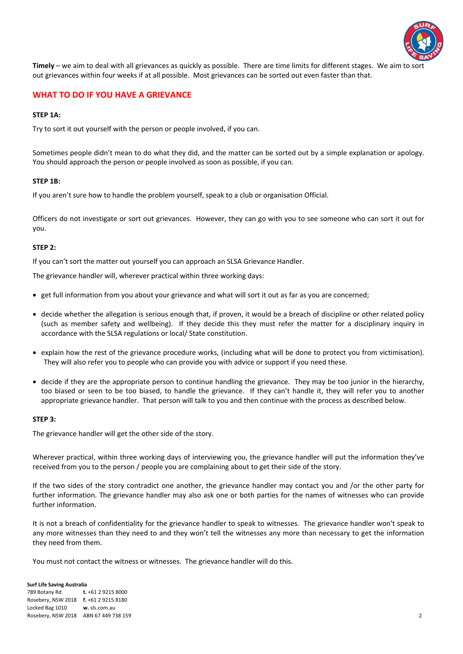

**Timely** – we aim to deal with all grievances as quickly as possible. There are time limits for different stages. We aim to so out grievances within four weeks if at all possible. Most grievances can be sorted out even faster than that.

# **WHAT TO DO IF YOU HAVE A GRIEVANCE**

## **STEP 1A:**

Try to sort it out yourself with the person or people involved, if you can.

Sometimes people didn't mean to do what they did, and the matter can be sorted out by a simple explanation or apology. You should approach the person or people involved as soon as possible, if you can.

## **STEP 1B:**

If you aren't sure how to handle the problem yourself, speak to a club or organisation Official.

Officers do not investigate or sort out grievances. However, they can go with you to see someone who can sort it out for you.

## **STEP 2:**

If you can't sort the matter out yourself you can approach an SLSA Grievance Handler.

The grievance handler will, wherever practical within three working days:

- get full information from you about your grievance and what will sort it out as far as you are concerned;
- decide whether the allegation is serious enough that, if proven, it would be a breach of discipline or other related policy (such as member safety and wellbeing). If they decide this they must refer the matter for a disciplinary inquiry in accordance with the SLSA regulations or local/ State constitution.
- explain how the rest of the grievance procedure works, (including what will be done to protect you from victimisation). They will also refer you to people who can provide you with advice or support if you need these.
- decide if they are the appropriate person to continue handling the grievance. They may be too junior in the hierarchy, too biased or seen to be too biased, to handle the grievance. If they can't handle it, they will refer you to another appropriate grievance handler. That person will talk to you and then continue with the process as described below.

## **STEP 3:**

The grievance handler will get the other side of the story.

Wherever practical, within three working days of interviewing you, the grievance handler will put the information they've received from you to the person / people you are complaining about to get their side of the story.

If the two sides of the story contradict one another, the grievance handler may contact you and /or the other party for further information. The grievance handler may also ask one or both parties for the names of witnesses who can provide further information.

It is not a breach of confidentiality for the grievance handler to speak to witnesses. The grievance handler won't speak to any more witnesses than they need to and they won't tell the witnesses any more than necessary to get the information they need from them.

You must not contact the witness or witnesses. The grievance handler will do this.

#### **Surf Life Saving Australia**  789 Botany Rd **t.** +61 2 9215 8000 Rosebery, NSW 2018 **f.** +61 2 9215 8180 Locked Bag 1010 **w.** sls.com.au Rosebery, NSW 2018 ABN 67 449 738 159 2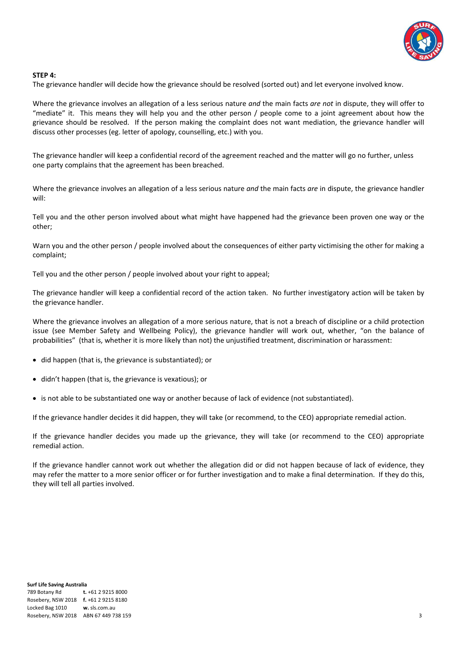

## **STEP 4:**

The grievance handler will decide how the grievance should be resolved (sorted out) and let everyone involved know.

Where the grievance involves an allegation of a less serious nature *and* the main facts *are not* in dispute, they will offer to "mediate" it. This means they will help you and the other person / people come to a joint agreement about how the grievance should be resolved. If the person making the complaint does not want mediation, the grievance handler will discuss other processes (eg. letter of apology, counselling, etc.) with you.

The grievance handler will keep a confidential record of the agreement reached and the matter will go no further, unless one party complains that the agreement has been breached.

Where the grievance involves an allegation of a less serious nature *and* the main facts *are* in dispute, the grievance handler will:

Tell you and the other person involved about what might have happened had the grievance been proven one way or the other;

Warn you and the other person / people involved about the consequences of either party victimising the other for making a complaint;

Tell you and the other person / people involved about your right to appeal;

The grievance handler will keep a confidential record of the action taken. No further investigatory action will be taken by the grievance handler.

Where the grievance involves an allegation of a more serious nature, that is not a breach of discipline or a child protection issue (see Member Safety and Wellbeing Policy), the grievance handler will work out, whether, "on the balance of probabilities" (that is, whether it is more likely than not) the unjustified treatment, discrimination or harassment:

- did happen (that is, the grievance is substantiated); or
- didn't happen (that is, the grievance is vexatious); or
- is not able to be substantiated one way or another because of lack of evidence (not substantiated).

If the grievance handler decides it did happen, they will take (or recommend, to the CEO) appropriate remedial action.

If the grievance handler decides you made up the grievance, they will take (or recommend to the CEO) appropriate remedial action.

If the grievance handler cannot work out whether the allegation did or did not happen because of lack of evidence, they may refer the matter to a more senior officer or for further investigation and to make a final determination. If they do this, they will tell all parties involved.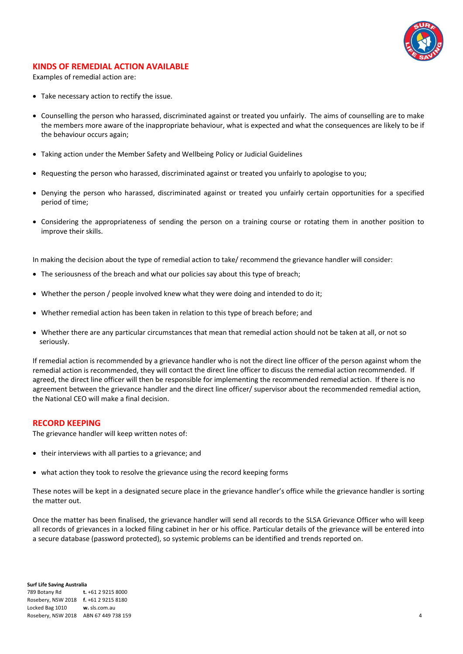

# **KINDS OF REMEDIAL ACTION AVAILABLE**

Examples of remedial action are:

- Take necessary action to rectify the issue.
- Counselling the person who harassed, discriminated against or treated you unfairly. The aims of counselling are to make the members more aware of the inappropriate behaviour, what is expected and what the consequences are likely to be if the behaviour occurs again;
- Taking action under the Member Safety and Wellbeing Policy or Judicial Guidelines
- Requesting the person who harassed, discriminated against or treated you unfairly to apologise to you;
- Denying the person who harassed, discriminated against or treated you unfairly certain opportunities for a specified period of time;
- Considering the appropriateness of sending the person on a training course or rotating them in another position to improve their skills.

In making the decision about the type of remedial action to take/ recommend the grievance handler will consider:

- The seriousness of the breach and what our policies say about this type of breach;
- Whether the person / people involved knew what they were doing and intended to do it;
- Whether remedial action has been taken in relation to this type of breach before; and
- Whether there are any particular circumstances that mean that remedial action should not be taken at all, or not so seriously.

If remedial action is recommended by a grievance handler who is not the direct line officer of the person against whom the remedial action is recommended, they will contact the direct line officer to discuss the remedial action recommended. If agreed, the direct line officer will then be responsible for implementing the recommended remedial action. If there is no agreement between the grievance handler and the direct line officer/ supervisor about the recommended remedial action, the National CEO will make a final decision.

## **RECORD KEEPING**

The grievance handler will keep written notes of:

- their interviews with all parties to a grievance; and
- what action they took to resolve the grievance using the record keeping forms

These notes will be kept in a designated secure place in the grievance handler's office while the grievance handler is sorting the matter out.

Once the matter has been finalised, the grievance handler will send all records to the SLSA Grievance Officer who will keep all records of grievances in a locked filing cabinet in her or his office. Particular details of the grievance will be entered into a secure database (password protected), so systemic problems can be identified and trends reported on.